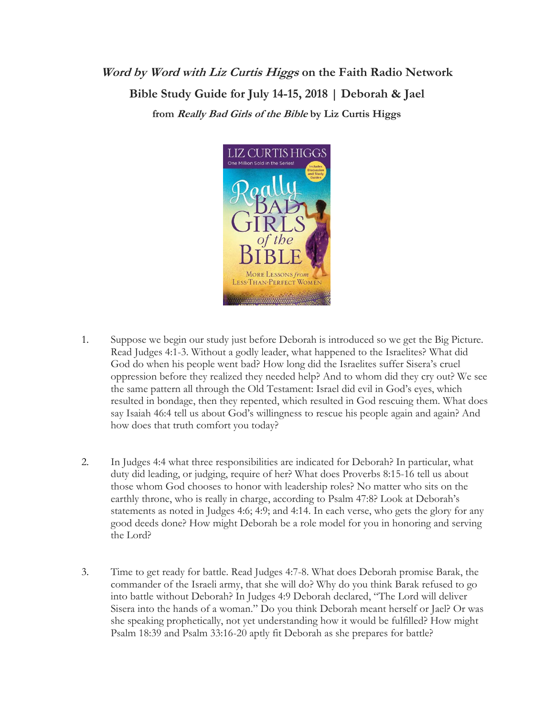## **Word by Word with Liz Curtis Higgs on the Faith Radio Network Bible Study Guide for July 14-15, 2018 | Deborah & Jael from Really Bad Girls of the Bible by Liz Curtis Higgs**



- 1. Suppose we begin our study just before Deborah is introduced so we get the Big Picture. Read Judges 4:1-3. Without a godly leader, what happened to the Israelites? What did God do when his people went bad? How long did the Israelites suffer Sisera's cruel oppression before they realized they needed help? And to whom did they cry out? We see the same pattern all through the Old Testament: Israel did evil in God's eyes, which resulted in bondage, then they repented, which resulted in God rescuing them. What does say Isaiah 46:4 tell us about God's willingness to rescue his people again and again? And how does that truth comfort you today?
- 2. In Judges 4:4 what three responsibilities are indicated for Deborah? In particular, what duty did leading, or judging, require of her? What does Proverbs 8:15-16 tell us about those whom God chooses to honor with leadership roles? No matter who sits on the earthly throne, who is really in charge, according to Psalm 47:8? Look at Deborah's statements as noted in Judges 4:6; 4:9; and 4:14. In each verse, who gets the glory for any good deeds done? How might Deborah be a role model for you in honoring and serving the Lord?
- 3. Time to get ready for battle. Read Judges 4:7-8. What does Deborah promise Barak, the commander of the Israeli army, that she will do? Why do you think Barak refused to go into battle without Deborah? In Judges 4:9 Deborah declared, "The Lord will deliver Sisera into the hands of a woman." Do you think Deborah meant herself or Jael? Or was she speaking prophetically, not yet understanding how it would be fulfilled? How might Psalm 18:39 and Psalm 33:16-20 aptly fit Deborah as she prepares for battle?